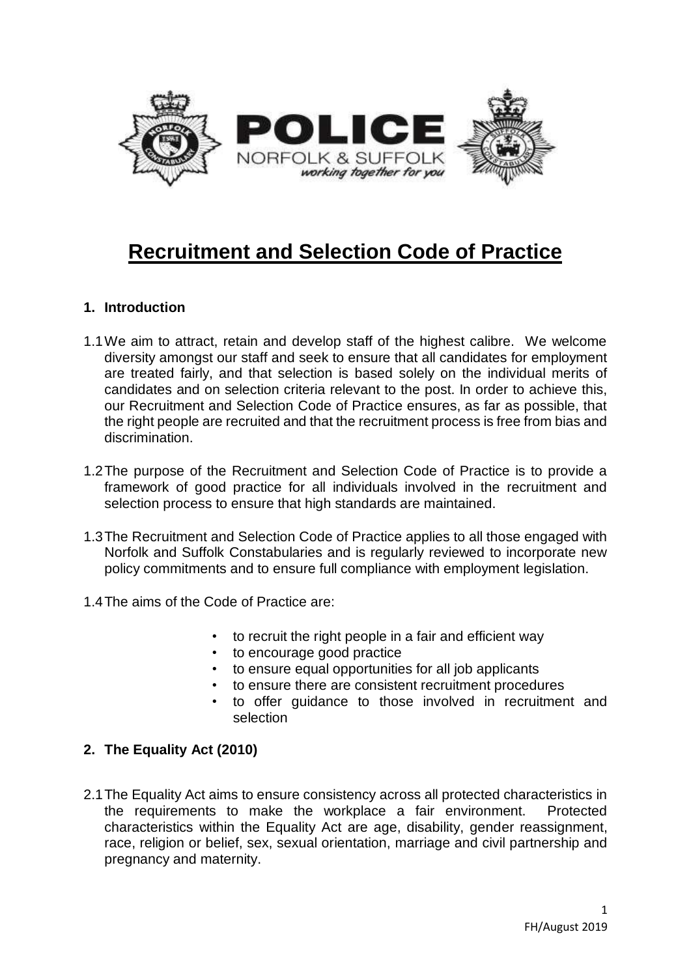

# **Recruitment and Selection Code of Practice**

# **1. Introduction**

- 1.1We aim to attract, retain and develop staff of the highest calibre. We welcome diversity amongst our staff and seek to ensure that all candidates for employment are treated fairly, and that selection is based solely on the individual merits of candidates and on selection criteria relevant to the post. In order to achieve this, our Recruitment and Selection Code of Practice ensures, as far as possible, that the right people are recruited and that the recruitment process is free from bias and discrimination.
- 1.2The purpose of the Recruitment and Selection Code of Practice is to provide a framework of good practice for all individuals involved in the recruitment and selection process to ensure that high standards are maintained.
- 1.3The Recruitment and Selection Code of Practice applies to all those engaged with Norfolk and Suffolk Constabularies and is regularly reviewed to incorporate new policy commitments and to ensure full compliance with employment legislation.
- 1.4The aims of the Code of Practice are:
	- to recruit the right people in a fair and efficient way
	- to encourage good practice
	- to ensure equal opportunities for all job applicants
	- to ensure there are consistent recruitment procedures
	- to offer guidance to those involved in recruitment and selection

# **2. The Equality Act (2010)**

2.1The Equality Act aims to ensure consistency across all protected characteristics in the requirements to make the workplace a fair environment. Protected characteristics within the Equality Act are age, disability, gender reassignment, race, religion or belief, sex, sexual orientation, marriage and civil partnership and pregnancy and maternity.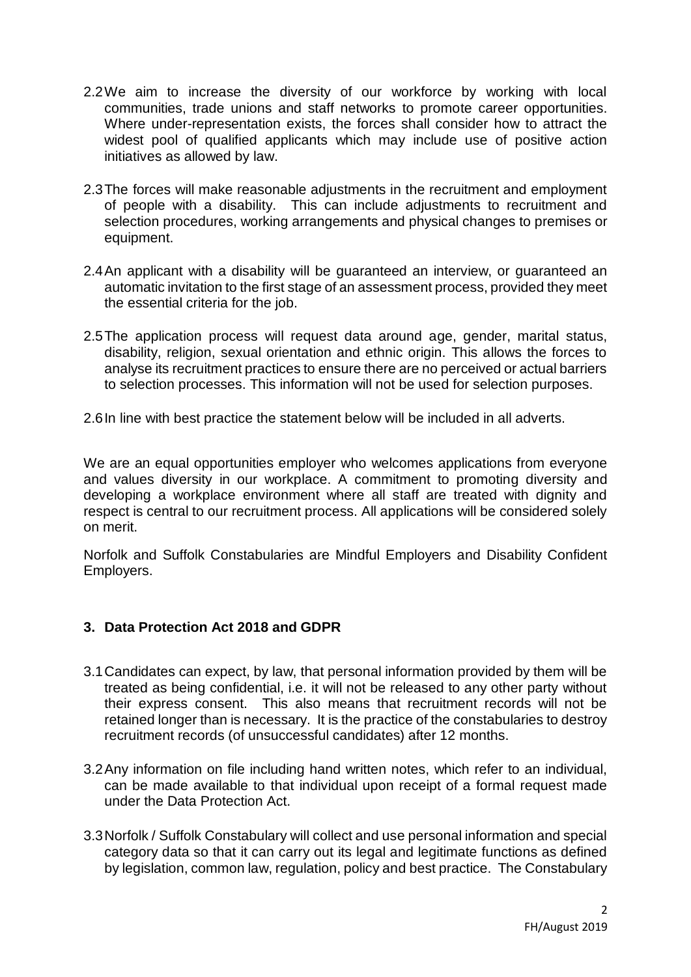- 2.2We aim to increase the diversity of our workforce by working with local communities, trade unions and staff networks to promote career opportunities. Where under-representation exists, the forces shall consider how to attract the widest pool of qualified applicants which may include use of positive action initiatives as allowed by law.
- 2.3The forces will make reasonable adjustments in the recruitment and employment of people with a disability. This can include adjustments to recruitment and selection procedures, working arrangements and physical changes to premises or equipment.
- 2.4An applicant with a disability will be guaranteed an interview, or guaranteed an automatic invitation to the first stage of an assessment process, provided they meet the essential criteria for the job.
- 2.5The application process will request data around age, gender, marital status, disability, religion, sexual orientation and ethnic origin. This allows the forces to analyse its recruitment practices to ensure there are no perceived or actual barriers to selection processes. This information will not be used for selection purposes.
- 2.6In line with best practice the statement below will be included in all adverts.

We are an equal opportunities employer who welcomes applications from everyone and values diversity in our workplace. A commitment to promoting diversity and developing a workplace environment where all staff are treated with dignity and respect is central to our recruitment process. All applications will be considered solely on merit.

Norfolk and Suffolk Constabularies are Mindful Employers and Disability Confident Employers.

# **3. Data Protection Act 2018 and GDPR**

- 3.1Candidates can expect, by law, that personal information provided by them will be treated as being confidential, i.e. it will not be released to any other party without their express consent. This also means that recruitment records will not be retained longer than is necessary. It is the practice of the constabularies to destroy recruitment records (of unsuccessful candidates) after 12 months.
- 3.2Any information on file including hand written notes, which refer to an individual, can be made available to that individual upon receipt of a formal request made under the Data Protection Act.
- 3.3Norfolk / Suffolk Constabulary will collect and use personal information and special category data so that it can carry out its legal and legitimate functions as defined by legislation, common law, regulation, policy and best practice. The Constabulary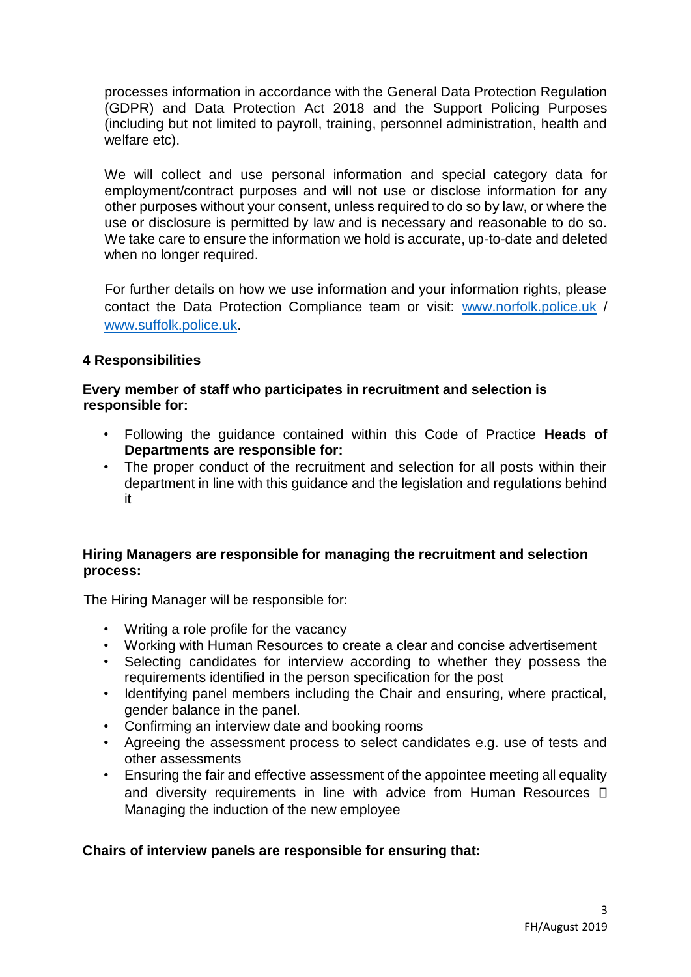processes information in accordance with the General Data Protection Regulation (GDPR) and Data Protection Act 2018 and the Support Policing Purposes (including but not limited to payroll, training, personnel administration, health and welfare etc).

We will collect and use personal information and special category data for employment/contract purposes and will not use or disclose information for any other purposes without your consent, unless required to do so by law, or where the use or disclosure is permitted by law and is necessary and reasonable to do so. We take care to ensure the information we hold is accurate, up-to-date and deleted when no longer required.

For further details on how we use information and your information rights, please contact the Data Protection Compliance team or visit: [www.norfolk.police.uk](http://www.norfolk.police.uk/) / [www.suffolk.police.uk.](http://www.suffolk.police.uk/)

### **4 Responsibilities**

### **Every member of staff who participates in recruitment and selection is responsible for:**

- Following the guidance contained within this Code of Practice **Heads of Departments are responsible for:**
- The proper conduct of the recruitment and selection for all posts within their department in line with this guidance and the legislation and regulations behind it

### **Hiring Managers are responsible for managing the recruitment and selection process:**

The Hiring Manager will be responsible for:

- Writing a role profile for the vacancy
- Working with Human Resources to create a clear and concise advertisement
- Selecting candidates for interview according to whether they possess the requirements identified in the person specification for the post
- Identifying panel members including the Chair and ensuring, where practical, gender balance in the panel.
- Confirming an interview date and booking rooms
- Agreeing the assessment process to select candidates e.g. use of tests and other assessments
- Ensuring the fair and effective assessment of the appointee meeting all equality and diversity requirements in line with advice from Human Resources  $\Box$ Managing the induction of the new employee

# **Chairs of interview panels are responsible for ensuring that:**